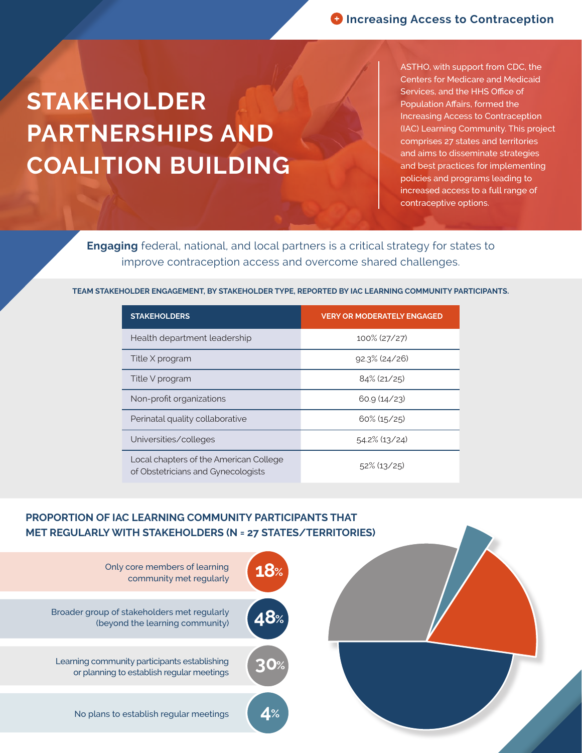## **STAKEHOLDER PARTNERSHIPS AND COALITION BUILDING**

ASTHO, with support from CDC, the Centers for Medicare and Medicaid Services, and the HHS Office of Population Affairs, formed the Increasing Access to Contraception (IAC) Learning Community. This project comprises 27 states and territories and aims to disseminate strategies and best practices for implementing policies and programs leading to increased access to a full range of contraceptive options.

**Engaging** federal, national, and local partners is a critical strategy for states to improve contraception access and overcome shared challenges.

**TEAM STAKEHOLDER ENGAGEMENT, BY STAKEHOLDER TYPE, REPORTED BY IAC LEARNING COMMUNITY PARTICIPANTS.**

| <b>STAKEHOLDERS</b>                                                          | <b>VERY OR MODERATELY ENGAGED</b> |
|------------------------------------------------------------------------------|-----------------------------------|
| Health department leadership                                                 | 100% (27/27)                      |
| Title X program                                                              | $92.3\%$ (24/26)                  |
| Title V program                                                              | $84\%$ (21/25)                    |
| Non-profit organizations                                                     | 60.9(14/23)                       |
| Perinatal quality collaborative                                              | $60\%$ (15/25)                    |
| Universities/colleges                                                        | $54.2\%$ (13/24)                  |
| Local chapters of the American College<br>of Obstetricians and Gynecologists | $52\%$ (13/25)                    |

## **PROPORTION OF IAC LEARNING COMMUNITY PARTICIPANTS THAT MET REGULARLY WITH STAKEHOLDERS (N = 27 STATES/TERRITORIES)**